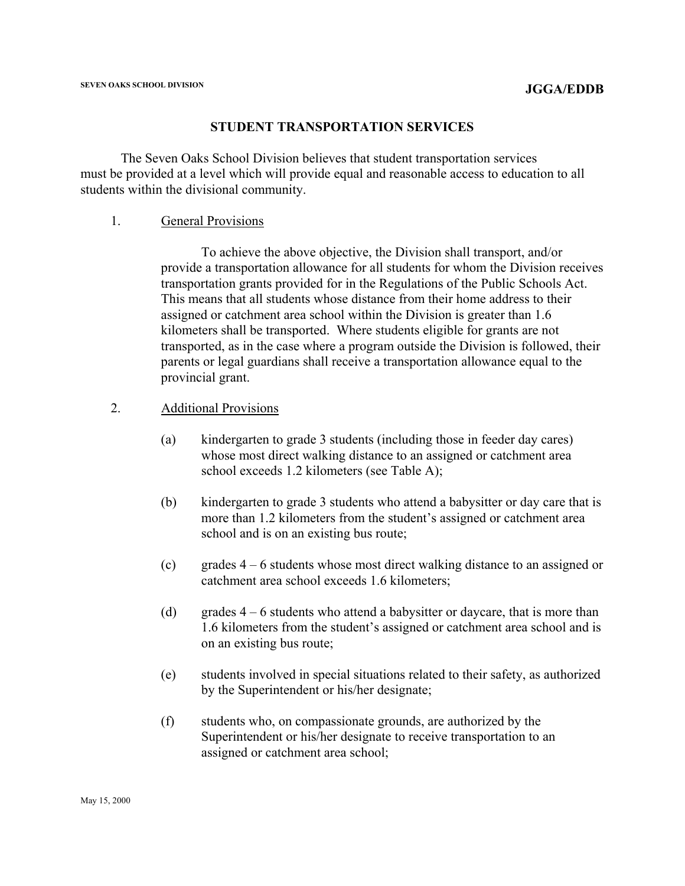#### **STUDENT TRANSPORTATION SERVICES**

The Seven Oaks School Division believes that student transportation services must be provided at a level which will provide equal and reasonable access to education to all students within the divisional community.

#### 1. General Provisions

 To achieve the above objective, the Division shall transport, and/or provide a transportation allowance for all students for whom the Division receives transportation grants provided for in the Regulations of the Public Schools Act. This means that all students whose distance from their home address to their assigned or catchment area school within the Division is greater than 1.6 kilometers shall be transported. Where students eligible for grants are not transported, as in the case where a program outside the Division is followed, their parents or legal guardians shall receive a transportation allowance equal to the provincial grant.

#### 2. Additional Provisions

- (a) kindergarten to grade 3 students (including those in feeder day cares) whose most direct walking distance to an assigned or catchment area school exceeds 1.2 kilometers (see Table A);
- (b) kindergarten to grade 3 students who attend a babysitter or day care that is more than 1.2 kilometers from the student's assigned or catchment area school and is on an existing bus route;
- (c) grades 4 6 students whose most direct walking distance to an assigned or catchment area school exceeds 1.6 kilometers;
- (d) grades  $4 6$  students who attend a babysitter or daycare, that is more than 1.6 kilometers from the student's assigned or catchment area school and is on an existing bus route;
- (e) students involved in special situations related to their safety, as authorized by the Superintendent or his/her designate;
- (f) students who, on compassionate grounds, are authorized by the Superintendent or his/her designate to receive transportation to an assigned or catchment area school;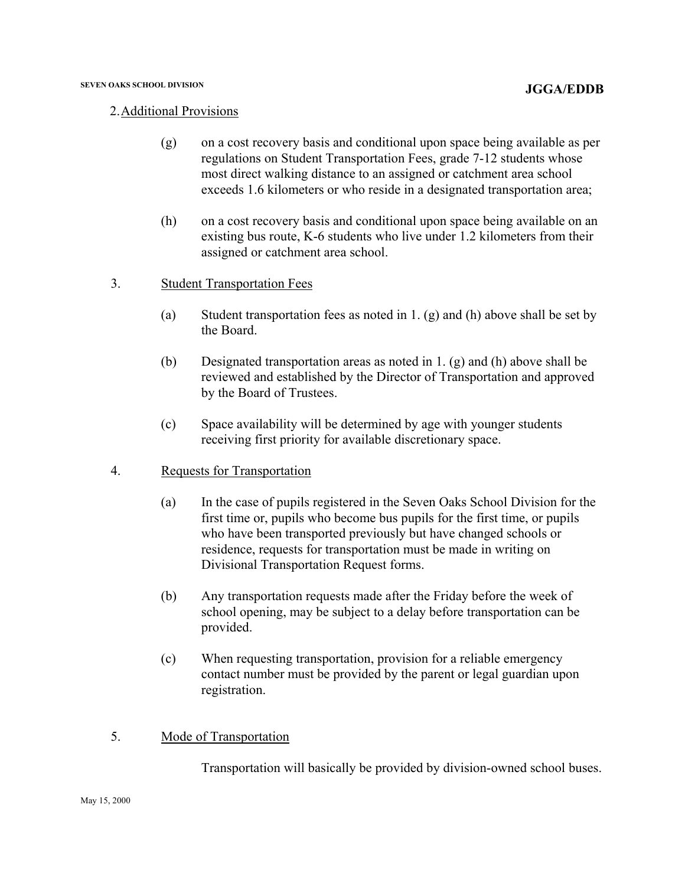#### 2.Additional Provisions

- (g) on a cost recovery basis and conditional upon space being available as per regulations on Student Transportation Fees, grade 7-12 students whose most direct walking distance to an assigned or catchment area school exceeds 1.6 kilometers or who reside in a designated transportation area;
- (h) on a cost recovery basis and conditional upon space being available on an existing bus route, K-6 students who live under 1.2 kilometers from their assigned or catchment area school.
- 3. Student Transportation Fees
	- (a) Student transportation fees as noted in 1. (g) and (h) above shall be set by the Board.
	- (b) Designated transportation areas as noted in 1. (g) and (h) above shall be reviewed and established by the Director of Transportation and approved by the Board of Trustees.
	- (c) Space availability will be determined by age with younger students receiving first priority for available discretionary space.
- 4. Requests for Transportation
	- (a) In the case of pupils registered in the Seven Oaks School Division for the first time or, pupils who become bus pupils for the first time, or pupils who have been transported previously but have changed schools or residence, requests for transportation must be made in writing on Divisional Transportation Request forms.
	- (b) Any transportation requests made after the Friday before the week of school opening, may be subject to a delay before transportation can be provided.
	- (c) When requesting transportation, provision for a reliable emergency contact number must be provided by the parent or legal guardian upon registration.
- 5. Mode of Transportation

Transportation will basically be provided by division-owned school buses.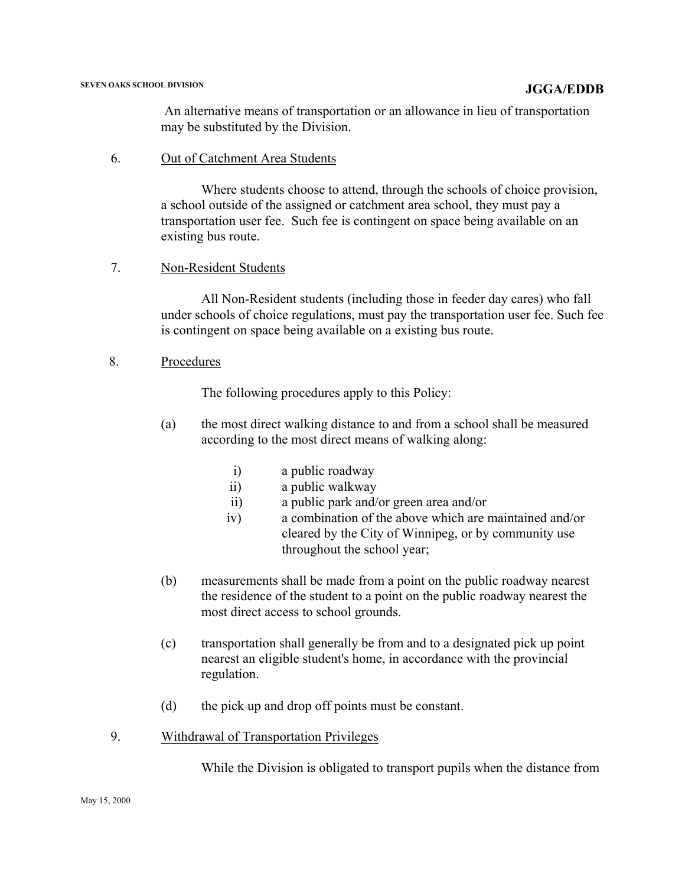An alternative means of transportation or an allowance in lieu of transportation may be substituted by the Division.

### 6. Out of Catchment Area Students

 Where students choose to attend, through the schools of choice provision, a school outside of the assigned or catchment area school, they must pay a transportation user fee. Such fee is contingent on space being available on an existing bus route.

## 7. Non-Resident Students

All Non-Resident students (including those in feeder day cares) who fall under schools of choice regulations, must pay the transportation user fee. Such fee is contingent on space being available on a existing bus route.

### 8. Procedures

The following procedures apply to this Policy:

- (a) the most direct walking distance to and from a school shall be measured according to the most direct means of walking along:
	- i) a public roadway
	- ii) a public walkway
	- ii) a public park and/or green area and/or
	- iv) a combination of the above which are maintained and/or cleared by the City of Winnipeg, or by community use throughout the school year;
- (b) measurements shall be made from a point on the public roadway nearest the residence of the student to a point on the public roadway nearest the most direct access to school grounds.
- (c) transportation shall generally be from and to a designated pick up point nearest an eligible student's home, in accordance with the provincial regulation.
- (d) the pick up and drop off points must be constant.
- 9. Withdrawal of Transportation Privileges

While the Division is obligated to transport pupils when the distance from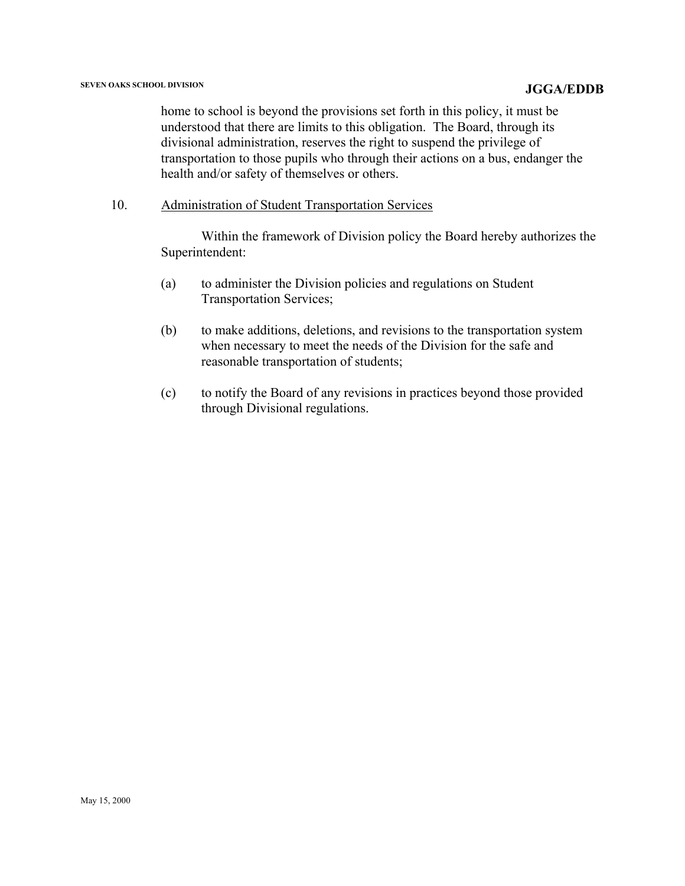home to school is beyond the provisions set forth in this policy, it must be understood that there are limits to this obligation. The Board, through its divisional administration, reserves the right to suspend the privilege of transportation to those pupils who through their actions on a bus, endanger the health and/or safety of themselves or others.

10. Administration of Student Transportation Services

 Within the framework of Division policy the Board hereby authorizes the Superintendent:

- (a) to administer the Division policies and regulations on Student Transportation Services;
- (b) to make additions, deletions, and revisions to the transportation system when necessary to meet the needs of the Division for the safe and reasonable transportation of students;
- (c) to notify the Board of any revisions in practices beyond those provided through Divisional regulations.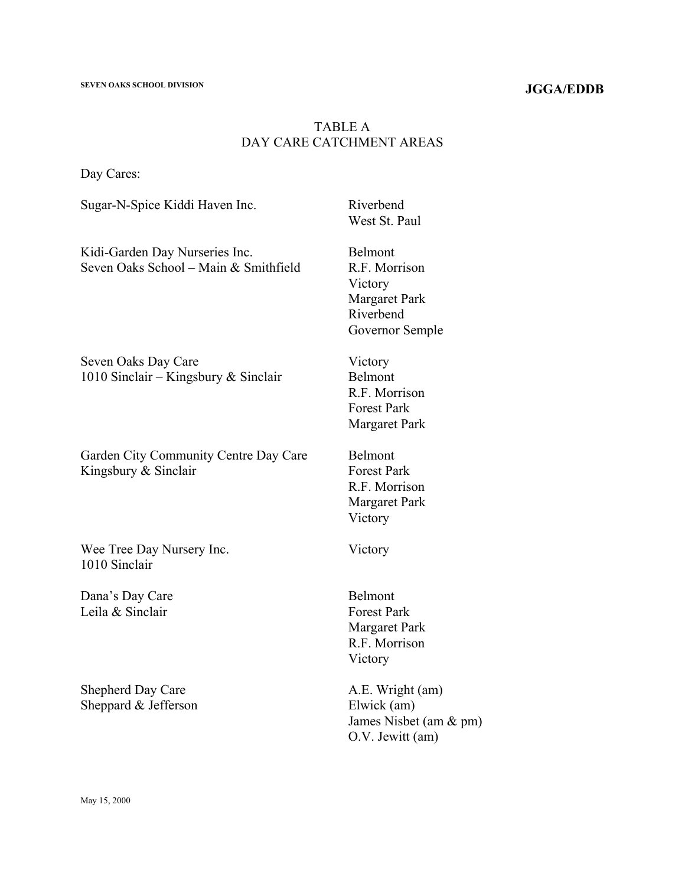### **JGGA/EDDB**

## TABLE A DAY CARE CATCHMENT AREAS

O.V. Jewitt (am)

Day Cares:

Sugar-N-Spice Kiddi Haven Inc. Riverbend West St. Paul Kidi-Garden Day Nurseries Inc. Seven Oaks School – Main & Smithfield Belmont R.F. Morrison Victory Margaret Park Riverbend Governor Semple Seven Oaks Day Care 1010 Sinclair – Kingsbury & Sinclair Victory Belmont R.F. Morrison Forest Park Margaret Park Garden City Community Centre Day Care Kingsbury & Sinclair Belmont Forest Park R.F. Morrison Margaret Park Victory Wee Tree Day Nursery Inc. 1010 Sinclair Victory Dana's Day Care Leila & Sinclair Belmont Forest Park Margaret Park R.F. Morrison Victory Shepherd Day Care Sheppard & Jefferson A.E. Wright (am) Elwick (am) James Nisbet (am & pm)